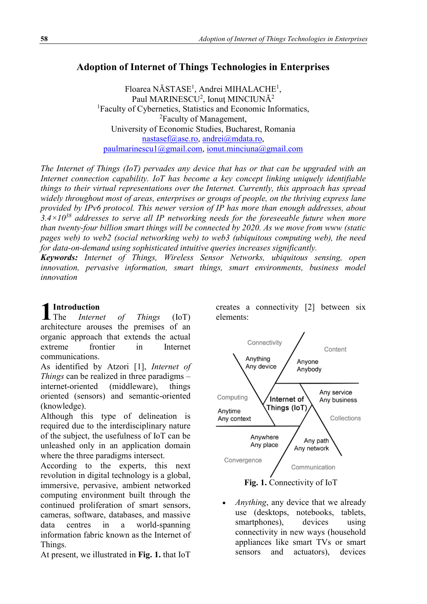# Adoption of Internet of Things Technologies in Enterprises

Floarea NĂSTASE<sup>1</sup>, Andrei MIHALACHE<sup>1</sup>, Paul MARINESCU<sup>2</sup>, Ionuț MINCIUNĂ<sup>2</sup> <sup>1</sup>Faculty of Cybernetics, Statistics and Economic Informatics, <sup>2</sup>Faculty of Management, University of Economic Studies, Bucharest, Romania nastasef@ase.ro, andrei@mdata.ro, paulmarinescu1@gmail.com, ionut.minciuna@gmail.com

The Internet of Things (IoT) pervades any device that has or that can be upgraded with an Internet connection capability. IoT has become a key concept linking uniquely identifiable things to their virtual representations over the Internet. Currently, this approach has spread widely throughout most of areas, enterprises or groups of people, on the thriving express lane provided by IPv6 protocol. This newer version of IP has more than enough addresses, about  $3.4\times10^{38}$  addresses to serve all IP networking needs for the foreseeable future when more than twenty-four billion smart things will be connected by 2020. As we move from www (static pages web) to web2 (social networking web) to web3 (ubiquitous computing web), the need for data-on-demand using sophisticated intuitive queries increases significantly.

Keywords: Internet of Things, Wireless Sensor Networks, ubiquitous sensing, open innovation, pervasive information, smart things, smart environments, business model innovation

## Introduction

 $Internet$  of Things (IoT) architecture arouses the premises of an organic approach that extends the actual extreme frontier in Internet communications. L The

As identified by Atzori [1], Internet of Things can be realized in three paradigms – internet-oriented (middleware), things oriented (sensors) and semantic-oriented (knowledge).

Although this type of delineation is required due to the interdisciplinary nature of the subject, the usefulness of IoT can be unleashed only in an application domain where the three paradigms intersect.

According to the experts, this next revolution in digital technology is a global, immersive, pervasive, ambient networked computing environment built through the continued proliferation of smart sensors, cameras, software, databases, and massive data centres in a world-spanning information fabric known as the Internet of Things.

At present, we illustrated in Fig. 1. that IoT

creates a connectivity [2] between six elements:



 Anything, any device that we already use (desktops, notebooks, tablets, smartphones), devices using connectivity in new ways (household appliances like smart TVs or smart sensors and actuators), devices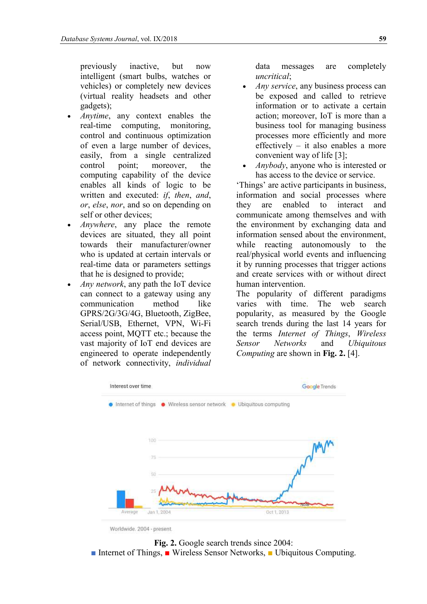previously inactive, but now intelligent (smart bulbs, watches or vehicles) or completely new devices (virtual reality headsets and other gadgets);

- Anytime, any context enables the real-time computing, monitoring, control and continuous optimization of even a large number of devices, easily, from a single centralized control point; moreover, the computing capability of the device enables all kinds of logic to be written and executed: if, then, and, or, else, nor, and so on depending on self or other devices;
- Anywhere, any place the remote devices are situated, they all point towards their manufacturer/owner who is updated at certain intervals or real-time data or parameters settings that he is designed to provide;
- Any network, any path the IoT device can connect to a gateway using any communication method like GPRS/2G/3G/4G, Bluetooth, ZigBee, Serial/USB, Ethernet, VPN, Wi-Fi access point, MQTT etc.; because the vast majority of IoT end devices are engineered to operate independently of network connectivity, individual

data messages are completely uncritical;

- Any service, any business process can be exposed and called to retrieve information or to activate a certain action; moreover, IoT is more than a business tool for managing business processes more efficiently and more effectively – it also enables a more convenient way of life [3];
- Anybody, anyone who is interested or has access to the device or service.

'Things' are active participants in business, information and social processes where they are enabled to interact and communicate among themselves and with the environment by exchanging data and information sensed about the environment, while reacting autonomously to the real/physical world events and influencing it by running processes that trigger actions and create services with or without direct human intervention.

The popularity of different paradigms varies with time. The web search popularity, as measured by the Google search trends during the last 14 years for the terms Internet of Things, Wireless Sensor Networks and Ubiquitous Computing are shown in Fig. 2. [4].



Worldwide. 2004 - present.

Fig. 2. Google search trends since 2004: ■ Internet of Things, ■ Wireless Sensor Networks, ■ Ubiquitous Computing.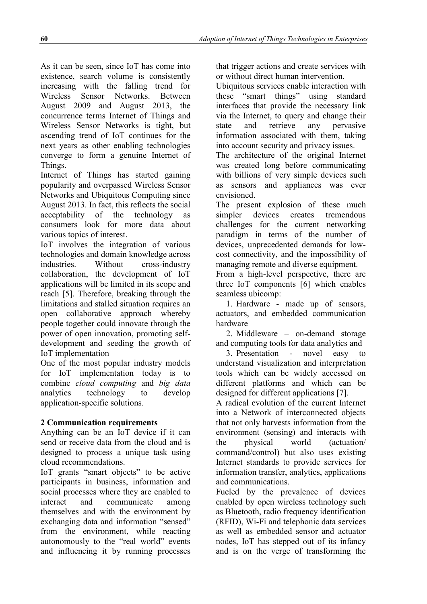60 Adoption of Internet of Things Technologies in Enterprises

As it can be seen, since IoT has come into existence, search volume is consistently increasing with the falling trend for Wireless Sensor Networks. Between August 2009 and August 2013, the concurrence terms Internet of Things and Wireless Sensor Networks is tight, but ascending trend of IoT continues for the next years as other enabling technologies converge to form a genuine Internet of Things.

Internet of Things has started gaining popularity and overpassed Wireless Sensor Networks and Ubiquitous Computing since August 2013. In fact, this reflects the social acceptability of the technology as consumers look for more data about various topics of interest.

IoT involves the integration of various technologies and domain knowledge across industries. Without cross-industry collaboration, the development of IoT applications will be limited in its scope and reach [5]. Therefore, breaking through the limitations and stalled situation requires an open collaborative approach whereby people together could innovate through the power of open innovation, promoting selfdevelopment and seeding the growth of IoT implementation

One of the most popular industry models for IoT implementation today is to combine cloud computing and big data analytics technology to develop application-specific solutions.

## 2 Communication requirements

Anything can be an IoT device if it can send or receive data from the cloud and is designed to process a unique task using cloud recommendations.

IoT grants "smart objects" to be active participants in business, information and social processes where they are enabled to interact and communicate among themselves and with the environment by exchanging data and information "sensed" from the environment, while reacting autonomously to the "real world" events and influencing it by running processes

that trigger actions and create services with or without direct human intervention.

Ubiquitous services enable interaction with these "smart things" using standard interfaces that provide the necessary link via the Internet, to query and change their state and retrieve any pervasive information associated with them, taking into account security and privacy issues.

The architecture of the original Internet was created long before communicating with billions of very simple devices such as sensors and appliances was ever envisioned.

The present explosion of these much simpler devices creates tremendous challenges for the current networking paradigm in terms of the number of devices, unprecedented demands for lowcost connectivity, and the impossibility of managing remote and diverse equipment.

From a high-level perspective, there are three IoT components [6] which enables seamless ubicomp:

1. Hardware - made up of sensors, actuators, and embedded communication hardware

2. Middleware – on-demand storage and computing tools for data analytics and

3. Presentation - novel easy to understand visualization and interpretation tools which can be widely accessed on different platforms and which can be designed for different applications [7].

A radical evolution of the current Internet into a Network of interconnected objects that not only harvests information from the environment (sensing) and interacts with the physical world (actuation/ command/control) but also uses existing Internet standards to provide services for information transfer, analytics, applications and communications.

Fueled by the prevalence of devices enabled by open wireless technology such as Bluetooth, radio frequency identification (RFID), Wi-Fi and telephonic data services as well as embedded sensor and actuator nodes, IoT has stepped out of its infancy and is on the verge of transforming the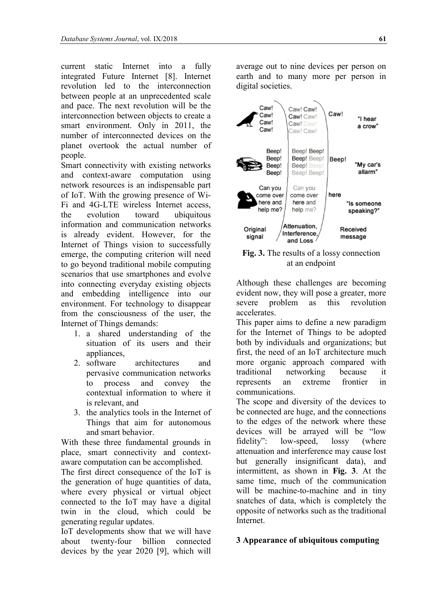current static Internet into a fully integrated Future Internet [8]. Internet revolution led to the interconnection between people at an unprecedented scale and pace. The next revolution will be the interconnection between objects to create a smart environment. Only in 2011, the number of interconnected devices on the planet overtook the actual number of people.

Smart connectivity with existing networks and context-aware computation using network resources is an indispensable part of IoT. With the growing presence of Wi-Fi and 4G-LTE wireless Internet access, the evolution toward ubiquitous information and communication networks is already evident. However, for the Internet of Things vision to successfully emerge, the computing criterion will need to go beyond traditional mobile computing scenarios that use smartphones and evolve into connecting everyday existing objects and embedding intelligence into our environment. For technology to disappear from the consciousness of the user, the Internet of Things demands:

- 1. a shared understanding of the situation of its users and their appliances,
- 2. software architectures and pervasive communication networks to process and convey the contextual information to where it is relevant, and
- 3. the analytics tools in the Internet of Things that aim for autonomous and smart behavior.

With these three fundamental grounds in place, smart connectivity and contextaware computation can be accomplished.

The first direct consequence of the IoT is the generation of huge quantities of data, where every physical or virtual object connected to the IoT may have a digital twin in the cloud, which could be generating regular updates.

IoT developments show that we will have about twenty-four billion connected devices by the year 2020 [9], which will

average out to nine devices per person on earth and to many more per person in digital societies.



Fig. 3. The results of a lossy connection at an endpoint

Although these challenges are becoming evident now, they will pose a greater, more severe problem as this revolution accelerates.

This paper aims to define a new paradigm for the Internet of Things to be adopted both by individuals and organizations; but first, the need of an IoT architecture much more organic approach compared with traditional networking because it represents an extreme frontier in communications.

The scope and diversity of the devices to be connected are huge, and the connections to the edges of the network where these devices will be arrayed will be "low fidelity": low-speed, lossy (where attenuation and interference may cause lost but generally insignificant data), and intermittent, as shown in Fig. 3. At the same time, much of the communication will be machine-to-machine and in tiny snatches of data, which is completely the opposite of networks such as the traditional Internet.

## 3 Appearance of ubiquitous computing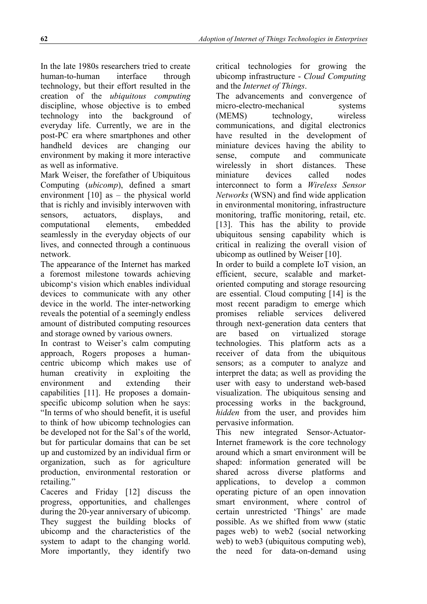In the late 1980s researchers tried to create human-to-human interface through technology, but their effort resulted in the creation of the ubiquitous computing discipline, whose objective is to embed technology into the background of everyday life. Currently, we are in the post-PC era where smartphones and other handheld devices are changing our environment by making it more interactive as well as informative.

Mark Weiser, the forefather of Ubiquitous Computing (ubicomp), defined a smart environment [10] as – the physical world that is richly and invisibly interwoven with sensors, actuators, displays, and computational elements, embedded seamlessly in the everyday objects of our lives, and connected through a continuous network.

The appearance of the Internet has marked a foremost milestone towards achieving ubicomp's vision which enables individual devices to communicate with any other device in the world. The inter-networking reveals the potential of a seemingly endless amount of distributed computing resources and storage owned by various owners.

In contrast to Weiser's calm computing approach, Rogers proposes a humancentric ubicomp which makes use of human creativity in exploiting the environment and extending their capabilities [11]. He proposes a domainspecific ubicomp solution when he says: "In terms of who should benefit, it is useful to think of how ubicomp technologies can be developed not for the Sal's of the world, but for particular domains that can be set up and customized by an individual firm or organization, such as for agriculture production, environmental restoration or retailing."

Caceres and Friday [12] discuss the progress, opportunities, and challenges during the 20-year anniversary of ubicomp. They suggest the building blocks of ubicomp and the characteristics of the system to adapt to the changing world. More importantly, they identify two

critical technologies for growing the ubicomp infrastructure - Cloud Computing and the Internet of Things.

The advancements and convergence of micro-electro-mechanical systems (MEMS) technology, wireless communications, and digital electronics have resulted in the development of miniature devices having the ability to sense, compute and communicate wirelessly in short distances. These miniature devices called nodes interconnect to form a Wireless Sensor Networks (WSN) and find wide application in environmental monitoring, infrastructure monitoring, traffic monitoring, retail, etc. [13]. This has the ability to provide ubiquitous sensing capability which is critical in realizing the overall vision of ubicomp as outlined by Weiser [10].

In order to build a complete IoT vision, an efficient, secure, scalable and marketoriented computing and storage resourcing are essential. Cloud computing [14] is the most recent paradigm to emerge which promises reliable services delivered through next-generation data centers that are based on virtualized storage technologies. This platform acts as a receiver of data from the ubiquitous sensors; as a computer to analyze and interpret the data; as well as providing the user with easy to understand web-based visualization. The ubiquitous sensing and processing works in the background, hidden from the user, and provides him pervasive information.

This new integrated Sensor-Actuator-Internet framework is the core technology around which a smart environment will be shaped: information generated will be shared across diverse platforms and applications, to develop a common operating picture of an open innovation smart environment, where control of certain unrestricted 'Things' are made possible. As we shifted from www (static pages web) to web2 (social networking web) to web3 (ubiquitous computing web). the need for data-on-demand using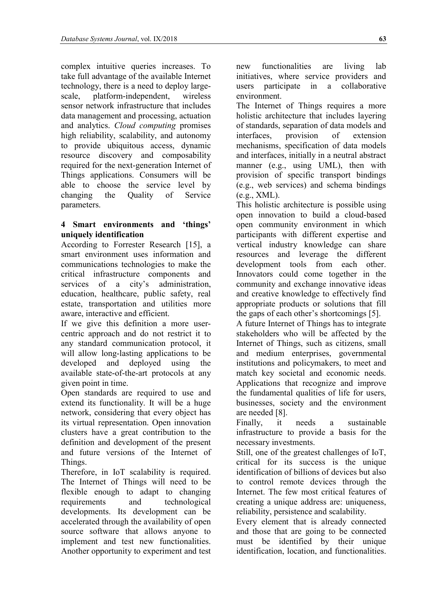complex intuitive queries increases. To take full advantage of the available Internet technology, there is a need to deploy largescale, platform-independent, wireless sensor network infrastructure that includes data management and processing, actuation and analytics. Cloud computing promises high reliability, scalability, and autonomy to provide ubiquitous access, dynamic resource discovery and composability required for the next-generation Internet of Things applications. Consumers will be able to choose the service level by changing the Quality of Service parameters.

#### 4 Smart environments and 'things' uniquely identification

According to Forrester Research [15], a smart environment uses information and communications technologies to make the critical infrastructure components and services of a city's administration, education, healthcare, public safety, real estate, transportation and utilities more aware, interactive and efficient.

If we give this definition a more usercentric approach and do not restrict it to any standard communication protocol, it will allow long-lasting applications to be developed and deployed using the available state-of-the-art protocols at any given point in time.

Open standards are required to use and extend its functionality. It will be a huge network, considering that every object has its virtual representation. Open innovation clusters have a great contribution to the definition and development of the present and future versions of the Internet of Things.

Therefore, in IoT scalability is required. The Internet of Things will need to be flexible enough to adapt to changing requirements and technological developments. Its development can be accelerated through the availability of open source software that allows anyone to implement and test new functionalities. Another opportunity to experiment and test new functionalities are living lab initiatives, where service providers and users participate in a collaborative environment.

The Internet of Things requires a more holistic architecture that includes layering of standards, separation of data models and interfaces, provision of extension mechanisms, specification of data models and interfaces, initially in a neutral abstract manner (e.g., using UML), then with provision of specific transport bindings (e.g., web services) and schema bindings (e.g., XML).

This holistic architecture is possible using open innovation to build a cloud-based open community environment in which participants with different expertise and vertical industry knowledge can share resources and leverage the different development tools from each other. Innovators could come together in the community and exchange innovative ideas and creative knowledge to effectively find appropriate products or solutions that fill the gaps of each other's shortcomings [5].

A future Internet of Things has to integrate stakeholders who will be affected by the Internet of Things, such as citizens, small and medium enterprises, governmental institutions and policymakers, to meet and match key societal and economic needs. Applications that recognize and improve the fundamental qualities of life for users, businesses, society and the environment are needed [8].

Finally, it needs a sustainable infrastructure to provide a basis for the necessary investments.

Still, one of the greatest challenges of IoT, critical for its success is the unique identification of billions of devices but also to control remote devices through the Internet. The few most critical features of creating a unique address are: uniqueness, reliability, persistence and scalability.

Every element that is already connected and those that are going to be connected must be identified by their unique identification, location, and functionalities.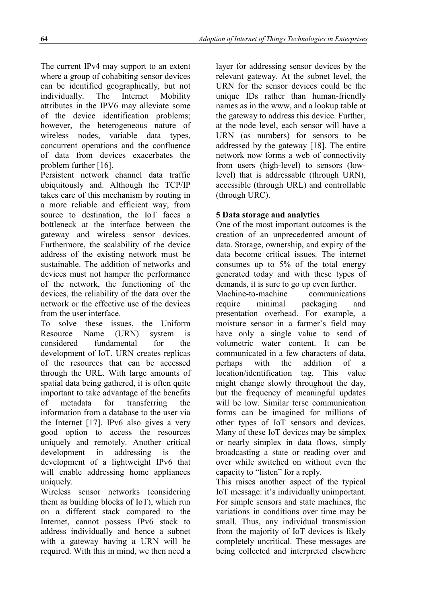The current IPv4 may support to an extent where a group of cohabiting sensor devices can be identified geographically, but not individually. The Internet Mobility attributes in the IPV6 may alleviate some of the device identification problems; however, the heterogeneous nature of wireless nodes, variable data types, concurrent operations and the confluence of data from devices exacerbates the problem further [16].

Persistent network channel data traffic ubiquitously and. Although the TCP/IP takes care of this mechanism by routing in a more reliable and efficient way, from source to destination, the IoT faces a bottleneck at the interface between the gateway and wireless sensor devices. Furthermore, the scalability of the device address of the existing network must be sustainable. The addition of networks and devices must not hamper the performance of the network, the functioning of the devices, the reliability of the data over the network or the effective use of the devices from the user interface.

To solve these issues, the Uniform Resource Name (URN) system is considered fundamental for the development of IoT. URN creates replicas of the resources that can be accessed through the URL. With large amounts of spatial data being gathered, it is often quite important to take advantage of the benefits of metadata for transferring the information from a database to the user via the Internet [17]. IPv6 also gives a very good option to access the resources uniquely and remotely. Another critical development in addressing is the development of a lightweight IPv6 that will enable addressing home appliances uniquely.

Wireless sensor networks (considering them as building blocks of IoT), which run on a different stack compared to the Internet, cannot possess IPv6 stack to address individually and hence a subnet with a gateway having a URN will be required. With this in mind, we then need a layer for addressing sensor devices by the relevant gateway. At the subnet level, the URN for the sensor devices could be the unique IDs rather than human-friendly names as in the www, and a lookup table at the gateway to address this device. Further, at the node level, each sensor will have a URN (as numbers) for sensors to be addressed by the gateway [18]. The entire network now forms a web of connectivity from users (high-level) to sensors (lowlevel) that is addressable (through URN), accessible (through URL) and controllable (through URC).

## 5 Data storage and analytics

One of the most important outcomes is the creation of an unprecedented amount of data. Storage, ownership, and expiry of the data become critical issues. The internet consumes up to  $5\%$  of the total energy generated today and with these types of demands, it is sure to go up even further.

Machine-to-machine communications require minimal packaging and presentation overhead. For example, a moisture sensor in a farmer's field may have only a single value to send of volumetric water content. It can be communicated in a few characters of data, perhaps with the addition of a location/identification tag. This value might change slowly throughout the day, but the frequency of meaningful updates will be low. Similar terse communication forms can be imagined for millions of other types of IoT sensors and devices. Many of these IoT devices may be simplex or nearly simplex in data flows, simply broadcasting a state or reading over and over while switched on without even the capacity to "listen" for a reply.

This raises another aspect of the typical IoT message: it's individually unimportant. For simple sensors and state machines, the variations in conditions over time may be small. Thus, any individual transmission from the majority of IoT devices is likely completely uncritical. These messages are being collected and interpreted elsewhere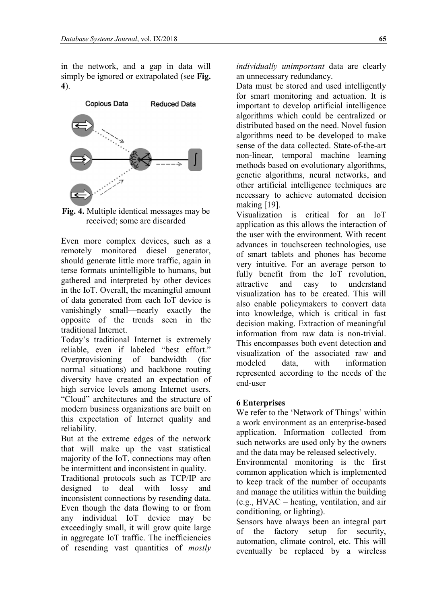in the network, and a gap in data will simply be ignored or extrapolated (see Fig. 4).



Fig. 4. Multiple identical messages may be received; some are discarded

Even more complex devices, such as a remotely monitored diesel generator, should generate little more traffic, again in terse formats unintelligible to humans, but gathered and interpreted by other devices in the IoT. Overall, the meaningful amount of data generated from each IoT device is vanishingly small—nearly exactly the opposite of the trends seen in the traditional Internet.

Today's traditional Internet is extremely reliable, even if labeled "best effort." Overprovisioning of bandwidth (for normal situations) and backbone routing diversity have created an expectation of high service levels among Internet users. "Cloud" architectures and the structure of modern business organizations are built on this expectation of Internet quality and reliability.

But at the extreme edges of the network that will make up the vast statistical majority of the IoT, connections may often be intermittent and inconsistent in quality.

Traditional protocols such as TCP/IP are designed to deal with lossy and inconsistent connections by resending data. Even though the data flowing to or from any individual IoT device may be exceedingly small, it will grow quite large in aggregate IoT traffic. The inefficiencies of resending vast quantities of mostly individually unimportant data are clearly an unnecessary redundancy.

Data must be stored and used intelligently for smart monitoring and actuation. It is important to develop artificial intelligence algorithms which could be centralized or distributed based on the need. Novel fusion algorithms need to be developed to make sense of the data collected. State-of-the-art non-linear, temporal machine learning methods based on evolutionary algorithms, genetic algorithms, neural networks, and other artificial intelligence techniques are necessary to achieve automated decision making [19].

Visualization is critical for an IoT application as this allows the interaction of the user with the environment. With recent advances in touchscreen technologies, use of smart tablets and phones has become very intuitive. For an average person to fully benefit from the IoT revolution, attractive and easy to understand visualization has to be created. This will also enable policymakers to convert data into knowledge, which is critical in fast decision making. Extraction of meaningful information from raw data is non-trivial. This encompasses both event detection and visualization of the associated raw and modeled data, with information represented according to the needs of the end-user

#### 6 Enterprises

We refer to the 'Network of Things' within a work environment as an enterprise-based application. Information collected from such networks are used only by the owners and the data may be released selectively.

Environmental monitoring is the first common application which is implemented to keep track of the number of occupants and manage the utilities within the building (e.g., HVAC – heating, ventilation, and air conditioning, or lighting).

Sensors have always been an integral part of the factory setup for security, automation, climate control, etc. This will eventually be replaced by a wireless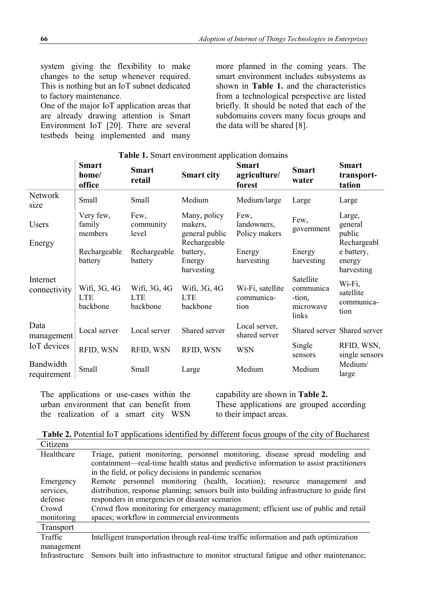system giving the flexibility to make changes to the setup whenever required. This is nothing but an IoT subnet dedicated to factory maintenance.

One of the major IoT application areas that are already drawing attention is Smart Environment IoT [20]. There are several testbeds being implemented and many more planned in the coming years. The smart environment includes subsystems as shown in Table 1. and the characteristics from a technological perspective are listed briefly. It should be noted that each of the subdomains covers many focus groups and the data will be shared [8].

|                          | <b>Smart</b><br>home/<br>office        | <b>Smart</b><br>retail                 | <b>Smart city</b>                                         | <b>Smart</b><br>agriculture/<br>forest | <b>Smart</b><br>water                                  | <b>Smart</b><br>transport-<br>tation       |
|--------------------------|----------------------------------------|----------------------------------------|-----------------------------------------------------------|----------------------------------------|--------------------------------------------------------|--------------------------------------------|
| Network<br>size          | Small                                  | Small                                  | Medium                                                    | Medium/large                           | Large                                                  | Large                                      |
| Users<br>Energy          | Very few,<br>family<br>members         | Few,<br>community<br>level             | Many, policy<br>makers,<br>general public<br>Rechargeable | Few,<br>landowners,<br>Policy makers   | Few,<br>government                                     | Large,<br>general<br>public<br>Rechargeabl |
|                          | Rechargeable<br>battery                | Rechargeable<br>battery                | battery,<br>Energy<br>harvesting                          | Energy<br>harvesting                   | Energy<br>harvesting                                   | e battery,<br>energy<br>harvesting         |
| Internet<br>connectivity | Wifi, 3G, 4G<br><b>LTE</b><br>backbone | Wifi, 3G, 4G<br><b>LTE</b><br>backbone | Wifi, 3G, 4G<br><b>LTE</b><br>backbone                    | Wi-Fi, satellite<br>communica-<br>tion | Satellite<br>communica<br>-tion,<br>microwave<br>links | Wi-Fi,<br>satellite<br>communica-<br>tion  |
| Data<br>management       | Local server                           | Local server                           | Shared server                                             | Local server,<br>shared server         |                                                        | Shared server Shared server                |
| IoT devices              | RFID, WSN                              | RFID, WSN                              | RFID, WSN                                                 | <b>WSN</b>                             | Single<br>sensors                                      | RFID, WSN,<br>single sensors               |
| Bandwidth<br>requirement | Small                                  | Small                                  | Large                                                     | Medium                                 | Medium                                                 | Medium/<br>large                           |

#### Table 1. Smart environment application domains

The applications or use-cases within the urban environment that can benefit from the realization of a smart city WSN capability are shown in Table 2. These applications are grouped according to their impact areas.

|                 | Table 2. Potential IoT applications identified by different focus groups of the city of Bucharest |  |  |
|-----------------|---------------------------------------------------------------------------------------------------|--|--|
| $- \cdot \cdot$ |                                                                                                   |  |  |

| Citizens       |                                                                                            |  |  |
|----------------|--------------------------------------------------------------------------------------------|--|--|
| Healthcare     | Triage, patient monitoring, personnel monitoring, disease spread modeling and              |  |  |
|                | containment—real-time health status and predictive information to assist practitioners     |  |  |
|                | in the field, or policy decisions in pandemic scenarios                                    |  |  |
| Emergency      | Remote personnel monitoring (health, location); resource management and                    |  |  |
| services,      | distribution, response planning; sensors built into building infrastructure to guide first |  |  |
| defense        | responders in emergencies or disaster scenarios                                            |  |  |
| Crowd          | Crowd flow monitoring for emergency management; efficient use of public and retail         |  |  |
| monitoring     | spaces; workflow in commercial environments                                                |  |  |
| Transport      |                                                                                            |  |  |
| Traffic        | Intelligent transportation through real-time traffic information and path optimization     |  |  |
| management     |                                                                                            |  |  |
| Infrastructure | Sensors built into infrastructure to monitor structural fatigue and other maintenance;     |  |  |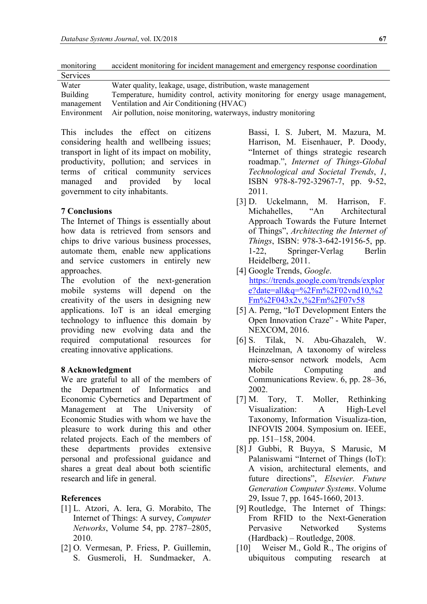| $\mu$ <sub>1</sub> $\mu$ <sub>1</sub> $\mu$ <sub>1</sub> $\mu$ <sub>1</sub> $\mu$ <sub>1</sub> | accident momenting for meadent management and emergency response coordination |
|------------------------------------------------------------------------------------------------|-------------------------------------------------------------------------------|
| Services                                                                                       |                                                                               |
| Water                                                                                          | Water quality, leakage, usage, distribution, waste management                 |
| Ruildino                                                                                       | Temperature humidity control activity monitoring for energy usage management  |

monitoring accident monitoring for incident management and emergency response coordination

Building management Temperature, humidity control, activity monitoring for energy usage management, Ventilation and Air Conditioning (HVAC)

Environment Air pollution, noise monitoring, waterways, industry monitoring

This includes the effect on citizens considering health and wellbeing issues; transport in light of its impact on mobility, productivity, pollution; and services in terms of critical community services managed and provided by local government to city inhabitants.

## 7 Conclusions

The Internet of Things is essentially about how data is retrieved from sensors and chips to drive various business processes, automate them, enable new applications and service customers in entirely new approaches.

The evolution of the next-generation mobile systems will depend on the creativity of the users in designing new applications. IoT is an ideal emerging technology to influence this domain by providing new evolving data and the required computational resources for creating innovative applications.

#### 8 Acknowledgment

We are grateful to all of the members of the Department of Informatics and Economic Cybernetics and Department of Management at The University of Economic Studies with whom we have the pleasure to work during this and other related projects. Each of the members of these departments provides extensive personal and professional guidance and shares a great deal about both scientific research and life in general.

## References

- [1] L. Atzori, A. Iera, G. Morabito, The Internet of Things: A survey, Computer Networks, Volume 54, pp. 2787–2805, 2010.
- [2] O. Vermesan, P. Friess, P. Guillemin, S. Gusmeroli, H. Sundmaeker, A.

Bassi, I. S. Jubert, M. Mazura, M. Harrison, M. Eisenhauer, P. Doody, "Internet of things strategic research roadmap.", Internet of Things-Global Technological and Societal Trends, 1, ISBN 978-8-792-32967-7, pp. 9-52, 2011.

- [3] D. Uckelmann, M. Harrison, F. Michahelles, "An Architectural Approach Towards the Future Internet of Things", Architecting the Internet of Things, ISBN: 978-3-642-19156-5, pp. 1-22, Springer-Verlag Berlin Heidelberg, 2011.
- [4] Google Trends, Google. https://trends.google.com/trends/explor e?date=all&q=%2Fm%2F02vnd10,%2 Fm%2F043x2v,%2Fm%2F07v58
- [5] A. Perng, "IoT Development Enters the Open Innovation Craze" - White Paper, NEXCOM, 2016.
- [6] S. Tilak, N. Abu-Ghazaleh, W. Heinzelman, A taxonomy of wireless micro-sensor network models, Acm Mobile Computing and Communications Review. 6, pp. 28–36, 2002.
- [7] M. Tory, T. Moller, Rethinking Visualization: A High-Level Taxonomy, Information Visualiza-tion, INFOVIS 2004. Symposium on. IEEE, pp. 151–158, 2004.
- [8] J Gubbi, R Buyya, S Marusic, M Palaniswami "Internet of Things (IoT): A vision, architectural elements, and future directions", Elsevier. Future Generation Computer Systems. Volume 29, Issue 7, pp. 1645-1660, 2013.
- [9] Routledge, The Internet of Things: From RFID to the Next-Generation Pervasive Networked Systems (Hardback) – Routledge, 2008.
- [10] Weiser M., Gold R., The origins of ubiquitous computing research at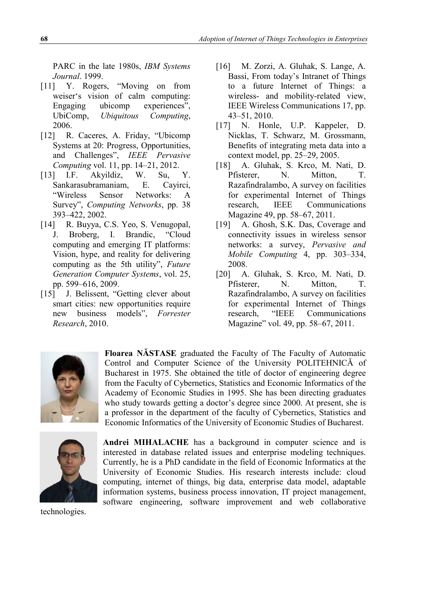PARC in the late 1980s, IBM Systems Journal. 1999.

- [11] Y. Rogers, "Moving on from weiser's vision of calm computing: Engaging ubicomp experiences", UbiComp, Ubiquitous Computing, 2006.
- [12] R. Caceres, A. Friday, "Ubicomp Systems at 20: Progress, Opportunities, and Challenges", IEEE Pervasive Computing vol. 11, pp. 14–21, 2012.
- [13] I.F. Akyildiz, W. Su, Y. Sankarasubramaniam, E. Cayirci, "Wireless Sensor Networks: A Survey", Computing Networks, pp. 38 393–422, 2002.
- [14] R. Buyya, C.S. Yeo, S. Venugopal, J. Broberg, I. Brandic, "Cloud computing and emerging IT platforms: Vision, hype, and reality for delivering computing as the 5th utility", Future Generation Computer Systems, vol. 25, pp. 599–616, 2009.
- [15] J. Belissent, "Getting clever about smart cities: new opportunities require new business models", Forrester Research, 2010.
- [16] M. Zorzi, A. Gluhak, S. Lange, A. Bassi, From today's Intranet of Things to a future Internet of Things: a wireless- and mobility-related view, IEEE Wireless Communications 17, pp. 43–51, 2010.
- [17] N. Honle, U.P. Kappeler, D. Nicklas, T. Schwarz, M. Grossmann, Benefits of integrating meta data into a context model, pp. 25–29, 2005.
- [18] A. Gluhak, S. Krco, M. Nati, D. Pfisterer, N. Mitton, T. Razafindralambo, A survey on facilities for experimental Internet of Things research, IEEE Communications Magazine 49, pp. 58–67, 2011.
- [19] A. Ghosh, S.K. Das, Coverage and connectivity issues in wireless sensor networks: a survey, Pervasive and Mobile Computing 4, pp. 303–334, 2008.
- [20] A. Gluhak, S. Krco, M. Nati, D. Pfisterer, N. Mitton, T. Razafindralambo, A survey on facilities for experimental Internet of Things research, "IEEE Communications Magazine" vol. 49, pp. 58–67, 2011.



Floarea NĂSTASE graduated the Faculty of The Faculty of Automatic Control and Computer Science of the University POLITEHNICĂ of Bucharest in 1975. She obtained the title of doctor of engineering degree from the Faculty of Cybernetics, Statistics and Economic Informatics of the Academy of Economic Studies in 1995. She has been directing graduates who study towards getting a doctor's degree since 2000. At present, she is a professor in the department of the faculty of Cybernetics, Statistics and Economic Informatics of the University of Economic Studies of Bucharest.



Andrei MIHALACHE has a background in computer science and is interested in database related issues and enterprise modeling techniques. Currently, he is a PhD candidate in the field of Economic Informatics at the University of Economic Studies. His research interests include: cloud computing, internet of things, big data, enterprise data model, adaptable information systems, business process innovation, IT project management, software engineering, software improvement and web collaborative

technologies.